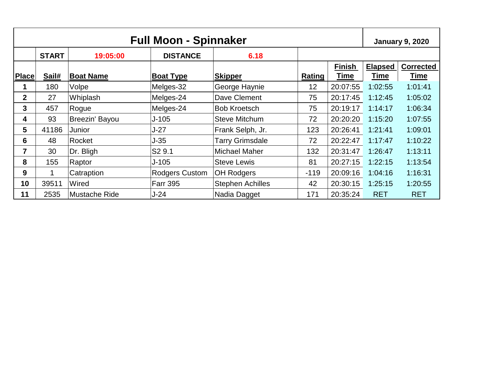| <b>Full Moon - Spinnaker</b> |              |                  |                       |                         | <b>January 9, 2020</b> |               |                |                  |
|------------------------------|--------------|------------------|-----------------------|-------------------------|------------------------|---------------|----------------|------------------|
|                              | <b>START</b> | 19:05:00         | <b>DISTANCE</b>       | 6.18                    |                        |               |                |                  |
|                              |              |                  |                       |                         |                        | <b>Finish</b> | <b>Elapsed</b> | <b>Corrected</b> |
| Place                        | Sail#        | <b>Boat Name</b> | <b>Boat Type</b>      | <b>Skipper</b>          | <b>Rating</b>          | <b>Time</b>   | <b>Time</b>    | Time             |
|                              | 180          | Volpe            | Melges-32             | George Haynie           | 12                     | 20:07:55      | 1:02:55        | 1:01:41          |
| $\overline{2}$               | 27           | Whiplash         | Melges-24             | Dave Clement            | 75                     | 20:17:45      | 1:12:45        | 1:05:02          |
| 3                            | 457          | Rogue            | Melges-24             | <b>Bob Kroetsch</b>     | 75                     | 20:19:17      | 1:14:17        | 1:06:34          |
| 4                            | 93           | Breezin' Bayou   | $J-105$               | <b>Steve Mitchum</b>    | 72                     | 20:20:20      | 1:15:20        | 1:07:55          |
| 5                            | 41186        | Junior           | $J-27$                | Frank Selph, Jr.        | 123                    | 20:26:41      | 1:21:41        | 1:09:01          |
| 6                            | 48           | Rocket           | J-35                  | <b>Tarry Grimsdale</b>  | 72                     | 20:22:47      | 1:17:47        | 1:10:22          |
| $\overline{7}$               | 30           | Dr. Bligh        | S <sub>2</sub> 9.1    | <b>Michael Maher</b>    | 132                    | 20:31:47      | 1:26:47        | 1:13:11          |
| 8                            | 155          | Raptor           | J-105                 | <b>Steve Lewis</b>      | 81                     | 20:27:15      | 1:22:15        | 1:13:54          |
| 9                            |              | Catraption       | <b>Rodgers Custom</b> | <b>OH Rodgers</b>       | $-119$                 | 20:09:16      | 1:04:16        | 1:16:31          |
| 10                           | 39511        | Wired            | <b>Farr 395</b>       | <b>Stephen Achilles</b> | 42                     | 20:30:15      | 1:25:15        | 1:20:55          |
| 11                           | 2535         | Mustache Ride    | $J-24$                | Nadia Dagget            | 171                    | 20:35:24      | <b>RET</b>     | <b>RET</b>       |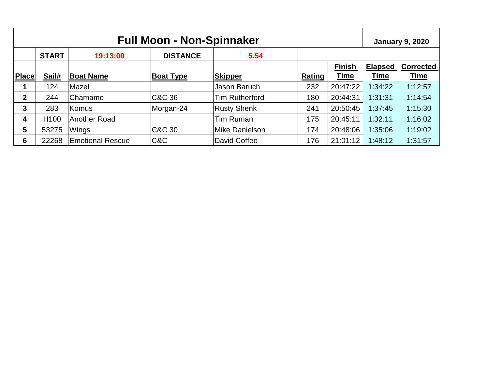| <b>Full Moon - Non-Spinnaker</b> |                  |                         |                  |                       |        | <b>January 9, 2020</b> |                |                  |
|----------------------------------|------------------|-------------------------|------------------|-----------------------|--------|------------------------|----------------|------------------|
|                                  | <b>START</b>     | 19:13:00                | <b>DISTANCE</b>  | 5.54                  |        |                        |                |                  |
|                                  |                  |                         |                  |                       |        | <b>Finish</b>          | <b>Elapsed</b> | <b>Corrected</b> |
| <b>Place</b>                     | Sail#            | <b>Boat Name</b>        | <b>Boat Type</b> | <b>Skipper</b>        | Rating | <u>Time</u>            | <b>Time</b>    | <b>Time</b>      |
|                                  | 124              | Mazel                   |                  | Jason Baruch          | 232    | 20:47:22               | 1:34:22        | 1:12:57          |
| $\mathbf 2$                      | 244              | Chamame                 | C&C 36           | <b>Tim Rutherford</b> | 180    | 20:44:31               | 1:31:31        | 1:14:54          |
| 3                                | 283              | Komus                   | Morgan-24        | <b>Rusty Shenk</b>    | 241    | 20:50:45               | 1:37:45        | 1:15:30          |
| 4                                | H <sub>100</sub> | <b>Another Road</b>     |                  | <b>Tim Ruman</b>      | 175    | 20:45:11               | 1:32:11        | 1:16:02          |
| 5                                | 53275            | Wings                   | C&C 30           | Mike Danielson        | 174    | 20:48:06               | 1:35:06        | 1:19:02          |
| 6                                | 22268            | <b>Emotional Rescue</b> | C&C              | David Coffee          | 176    | 21:01:12               | 1:48:12        | 1:31:57          |